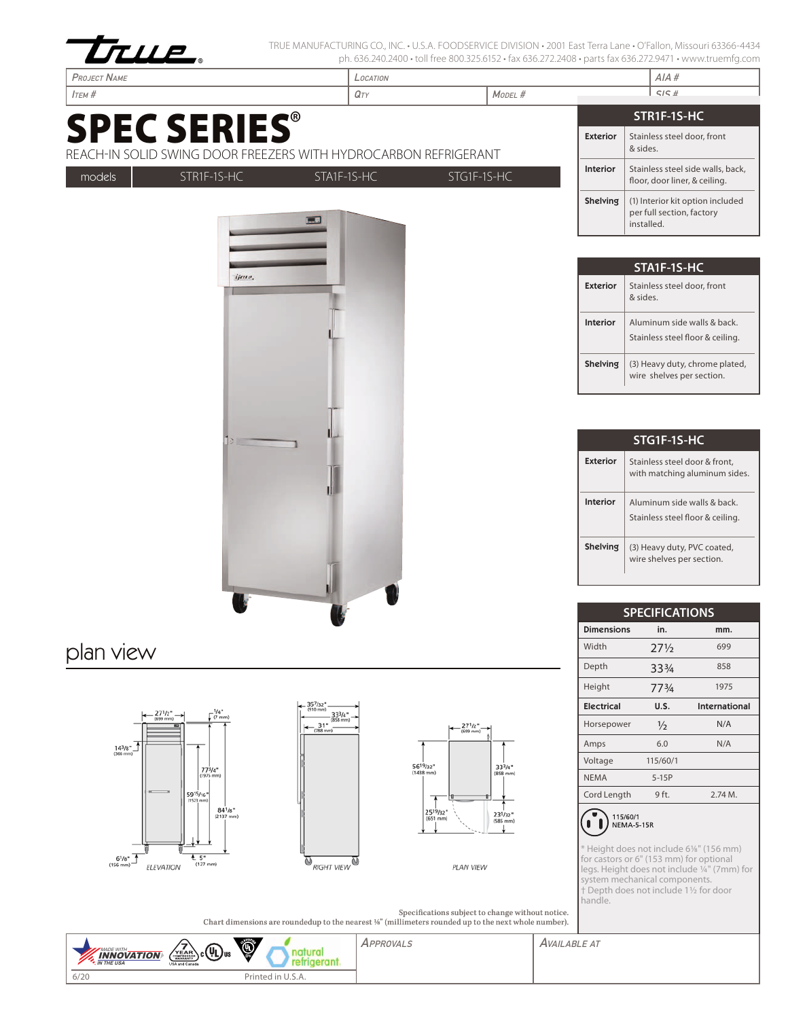

TRUE MANUFACTURING CO., INC. • U.S.A. FOODSERVICE DIVISION • 2001 East Terra Lane • O'Fallon, Missouri 63366-4434 ph. 636.240.2400 • toll free 800.325.6152 • fax 636.272.2408 • parts fax 636.272.9471 • www.truemfg.com

| <b>PROJECT NAME</b>                                                                    | LOCATION                   |                 |                             | AIA#                                                               |
|----------------------------------------------------------------------------------------|----------------------------|-----------------|-----------------------------|--------------------------------------------------------------------|
| $I$ TEM $#$                                                                            | $Q_T$                      | MODEL #         |                             | SISH                                                               |
|                                                                                        |                            |                 |                             | STR1F-1S-HC                                                        |
| <b>SPEC SERIES®</b><br>REACH-IN SOLID SWING DOOR FREEZERS WITH HYDROCARBON REFRIGERANT |                            |                 | <b>Exterior</b><br>& sides. | Stainless steel door, front                                        |
| STR1F-1S-HC<br>models                                                                  | STG1F-1S-HC<br>STA1F-1S-HC | Interior        |                             | Stainless steel side walls, back,<br>floor, door liner, & ceiling. |
| ⊶                                                                                      |                            |                 | Shelving<br>installed.      | (1) Interior kit option included<br>per full section, factory      |
|                                                                                        |                            |                 |                             | STA1F-1S-HC                                                        |
| ijana.                                                                                 |                            | <b>Exterior</b> | & sides.                    | Stainless steel door, front                                        |
|                                                                                        |                            | Interior        |                             | Aluminum side walls & back.<br>Stainless steel floor & ceiling.    |
|                                                                                        |                            |                 | Shelving                    | (3) Heavy duty, chrome plated,<br>wire shelves per section.        |

| STG1F-1S-HC     |                                                                |  |  |  |
|-----------------|----------------------------------------------------------------|--|--|--|
| Exterior        | Stainless steel door & front.<br>with matching aluminum sides. |  |  |  |
| Interior        | Aluminum side walls & back<br>Stainless steel floor & ceiling. |  |  |  |
| <b>Shelving</b> | (3) Heavy duty, PVC coated,<br>wire shelves per section.       |  |  |  |

| <b>SPECIFICATIONS</b> |                 |                      |  |  |  |
|-----------------------|-----------------|----------------------|--|--|--|
| <b>Dimensions</b>     | in.             | mm.                  |  |  |  |
| Width                 | $27\frac{1}{2}$ | 699                  |  |  |  |
| Depth                 | 334             | 858                  |  |  |  |
| Height                | 773/4           | 1975                 |  |  |  |
| <b>Electrical</b>     | U.S.            | <b>International</b> |  |  |  |
| Horsepower            | $\frac{1}{2}$   | N/A                  |  |  |  |
| Amps                  | 6.0             | N/A                  |  |  |  |
| Voltage               | 115/60/1        |                      |  |  |  |
| <b>NEMA</b>           | $5-15P$         |                      |  |  |  |
| Cord Length           | 9 ft.           | 2.74M.               |  |  |  |
| .                     |                 |                      |  |  |  |



\* Height does not include 61/8" (156 mm) for castors or 6" (153 mm) for optional legs. Height does not include 1/4" (7mm) for system mechanical components. † Depth does not include 11/2 for door handle.

Specifications subject to change without notice. Chart dimensions are roundedup to the nearest 1/8" (millimeters rounded up to the next whole number).



plan view







PLAN VIEW